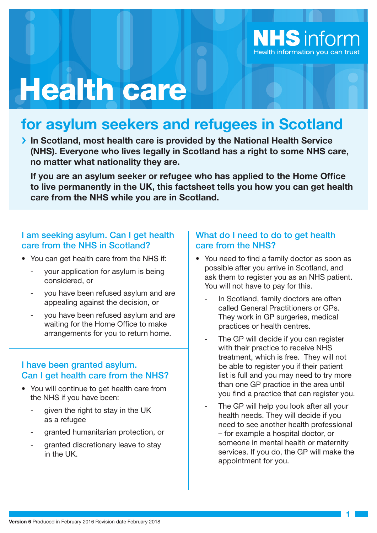

# Health care

# **for asylum seekers and refugees in Scotland**

**In Scotland, most health care is provided by the National Health Service (NHS). Everyone who lives legally in Scotland has a right to some NHS care, no matter what nationality they are.**

**If you are an asylum seeker or refugee who has applied to the Home Office to live permanently in the UK, this factsheet tells you how you can get health care from the NHS while you are in Scotland.**

# I am seeking asylum. Can I get health care from the NHS in Scotland?

- You can get health care from the NHS if:
	- your application for asylum is being considered, or
	- you have been refused asylum and are appealing against the decision, or
	- you have been refused asylum and are waiting for the Home Office to make arrangements for you to return home.

# I have been granted asylum. Can I get health care from the NHS?

- You will continue to get health care from the NHS if you have been:
	- given the right to stay in the UK as a refugee
	- granted humanitarian protection, or
	- granted discretionary leave to stay in the UK.

# What do I need to do to get health care from the NHS?

- You need to find a family doctor as soon as possible after you arrive in Scotland, and ask them to register you as an NHS patient. You will not have to pay for this.
	- In Scotland, family doctors are often called General Practitioners or GPs. They work in GP surgeries, medical practices or health centres.
	- The GP will decide if you can register with their practice to receive NHS treatment, which is free. They will not be able to register you if their patient list is full and you may need to try more than one GP practice in the area until you find a practice that can register you.
	- The GP will help you look after all your health needs. They will decide if you need to see another health professional – for example a hospital doctor, or someone in mental health or maternity services. If you do, the GP will make the appointment for you.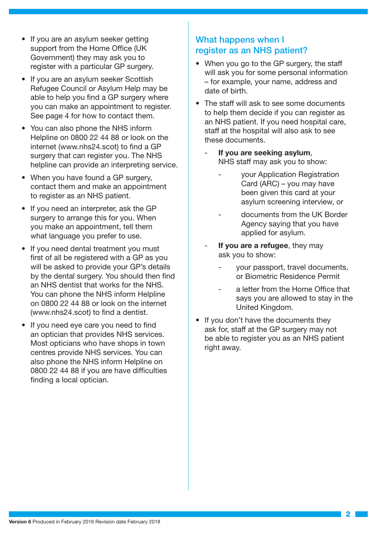- If you are an asylum seeker getting support from the Home Office (UK Government) they may ask you to register with a particular GP surgery.
- If you are an asylum seeker Scottish Refugee Council or Asylum Help may be able to help you find a GP surgery where you can make an appointment to register. See page 4 for how to contact them.
- You can also phone the NHS inform Helpline on 0800 22 44 88 or look on the internet (www.nhs24.scot) to find a GP surgery that can register you. The NHS helpline can provide an interpreting service.
- When you have found a GP surgery, contact them and make an appointment to register as an NHS patient.
- If you need an interpreter, ask the GP surgery to arrange this for you. When you make an appointment, tell them what language you prefer to use.
- If you need dental treatment you must first of all be registered with a GP as you will be asked to provide your GP's details by the dental surgery. You should then find an NHS dentist that works for the NHS. You can phone the NHS inform Helpline on 0800 22 44 88 or look on the internet (www.nhs24.scot) to find a dentist.
- If you need eye care you need to find an optician that provides NHS services. Most opticians who have shops in town centres provide NHS services. You can also phone the NHS inform Helpline on 0800 22 44 88 if you are have difficulties finding a local optician.

# What happens when I register as an NHS patient?

- When you go to the GP surgery, the staff will ask you for some personal information – for example, your name, address and date of birth.
- The staff will ask to see some documents to help them decide if you can register as an NHS patient. If you need hospital care, staff at the hospital will also ask to see these documents.
	- **If you are seeking asylum**, NHS staff may ask you to show:
		- your Application Registration Card (ARC) – you may have been given this card at your asylum screening interview, or
		- documents from the UK Border Agency saying that you have applied for asylum.
	- **If you are a refugee**, they may ask you to show:
		- your passport, travel documents, or Biometric Residence Permit
		- a letter from the Home Office that says you are allowed to stay in the United Kingdom.
- If you don't have the documents they ask for, staff at the GP surgery may not be able to register you as an NHS patient right away.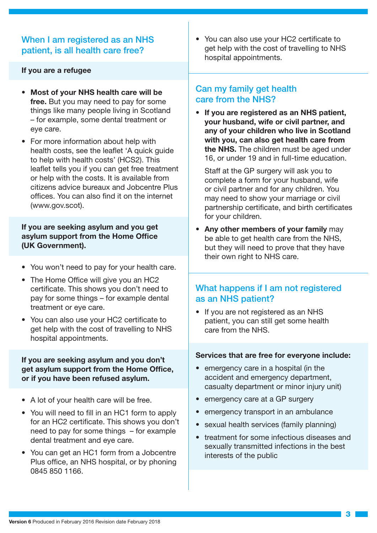# When I am registered as an NHS patient, is all health care free?

#### **If you are a refugee**

- **Most of your NHS health care will be free.** But you may need to pay for some things like many people living in Scotland – for example, some dental treatment or eye care.
- For more information about help with health costs, see the leaflet 'A quick quide to help with health costs' (HCS2). This leaflet tells you if you can get free treatment or help with the costs. It is available from citizens advice bureaux and Jobcentre Plus offices. You can also find it on the internet (www.gov.scot).

#### **If you are seeking asylum and you get asylum support from the Home Office (UK Government).**

- You won't need to pay for your health care.
- The Home Office will give you an HC2 certificate. This shows you don't need to pay for some things – for example dental treatment or eye care.
- You can also use your HC2 certificate to get help with the cost of travelling to NHS hospital appointments.

#### **If you are seeking asylum and you don't get asylum support from the Home Office, or if you have been refused asylum.**

- A lot of your health care will be free.
- You will need to fill in an HC1 form to apply for an HC2 certificate. This shows you don't need to pay for some things – for example dental treatment and eye care.
- You can get an HC1 form from a Jobcentre Plus office, an NHS hospital, or by phoning 0845 850 1166.

• You can also use your HC2 certificate to get help with the cost of travelling to NHS hospital appointments.

# Can my family get health care from the NHS?

• **If you are registered as an NHS patient, your husband, wife or civil partner, and any of your children who live in Scotland with you, can also get health care from the NHS.** The children must be aged under 16, or under 19 and in full-time education.

Staff at the GP surgery will ask you to complete a form for your husband, wife or civil partner and for any children. You may need to show your marriage or civil partnership certificate, and birth certificates for your children.

• **Any other members of your family** may be able to get health care from the NHS, but they will need to prove that they have their own right to NHS care.

## What happens if I am not registered as an NHS patient?

• If you are not registered as an NHS patient, you can still get some health care from the NHS.

#### **Services that are free for everyone include:**

- emergency care in a hospital (in the accident and emergency department, casualty department or minor injury unit)
- emergency care at a GP surgery
- emergency transport in an ambulance
- sexual health services (family planning)
- treatment for some infectious diseases and sexually transmitted infections in the best interests of the public